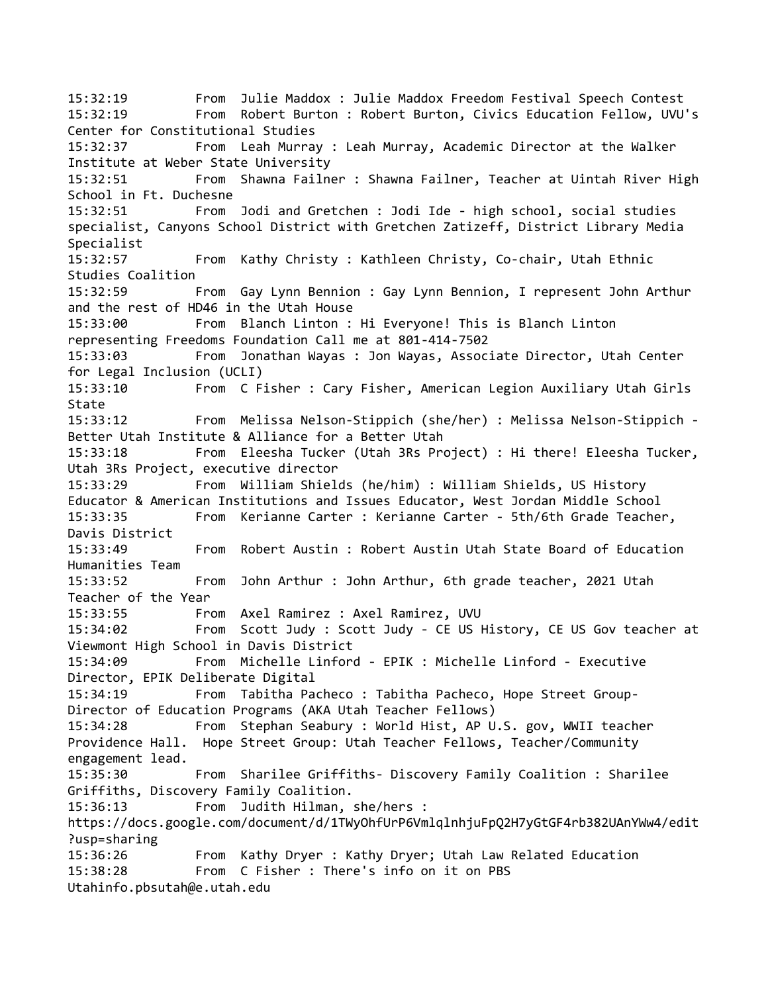15:32:19 From Julie Maddox : Julie Maddox Freedom Festival Speech Contest 15:32:19 From Robert Burton : Robert Burton, Civics Education Fellow, UVU's Center for Constitutional Studies 15:32:37 From Leah Murray : Leah Murray, Academic Director at the Walker Institute at Weber State University 15:32:51 From Shawna Failner : Shawna Failner, Teacher at Uintah River High School in Ft. Duchesne 15:32:51 From Jodi and Gretchen : Jodi Ide - high school, social studies specialist, Canyons School District with Gretchen Zatizeff, District Library Media Specialist 15:32:57 From Kathy Christy : Kathleen Christy, Co-chair, Utah Ethnic Studies Coalition 15:32:59 From Gay Lynn Bennion : Gay Lynn Bennion, I represent John Arthur and the rest of HD46 in the Utah House 15:33:00 From Blanch Linton : Hi Everyone! This is Blanch Linton representing Freedoms Foundation Call me at 801-414-7502 15:33:03 From Jonathan Wayas : Jon Wayas, Associate Director, Utah Center for Legal Inclusion (UCLI) 15:33:10 From C Fisher : Cary Fisher, American Legion Auxiliary Utah Girls State 15:33:12 From Melissa Nelson-Stippich (she/her) : Melissa Nelson-Stippich - Better Utah Institute & Alliance for a Better Utah 15:33:18 From Eleesha Tucker (Utah 3Rs Project) : Hi there! Eleesha Tucker, Utah 3Rs Project, executive director 15:33:29 From William Shields (he/him) : William Shields, US History Educator & American Institutions and Issues Educator, West Jordan Middle School 15:33:35 From Kerianne Carter : Kerianne Carter - 5th/6th Grade Teacher, Davis District 15:33:49 From Robert Austin : Robert Austin Utah State Board of Education Humanities Team 15:33:52 From John Arthur : John Arthur, 6th grade teacher, 2021 Utah Teacher of the Year 15:33:55 From Axel Ramirez : Axel Ramirez, UVU 15:34:02 From Scott Judy : Scott Judy - CE US History, CE US Gov teacher at Viewmont High School in Davis District 15:34:09 From Michelle Linford - EPIK : Michelle Linford - Executive Director, EPIK Deliberate Digital 15:34:19 From Tabitha Pacheco : Tabitha Pacheco, Hope Street Group-Director of Education Programs (AKA Utah Teacher Fellows) 15:34:28 From Stephan Seabury : World Hist, AP U.S. gov, WWII teacher Providence Hall. Hope Street Group: Utah Teacher Fellows, Teacher/Community engagement lead. 15:35:30 From Sharilee Griffiths- Discovery Family Coalition : Sharilee Griffiths, Discovery Family Coalition. 15:36:13 From Judith Hilman, she/hers : https://docs.google.com/document/d/1TWyOhfUrP6VmlqlnhjuFpQ2H7yGtGF4rb382UAnYWw4/edit ?usp=sharing 15:36:26 From Kathy Dryer : Kathy Dryer; Utah Law Related Education 15:38:28 From C Fisher : There's info on it on PBS Utahinfo.pbsutah@e.utah.edu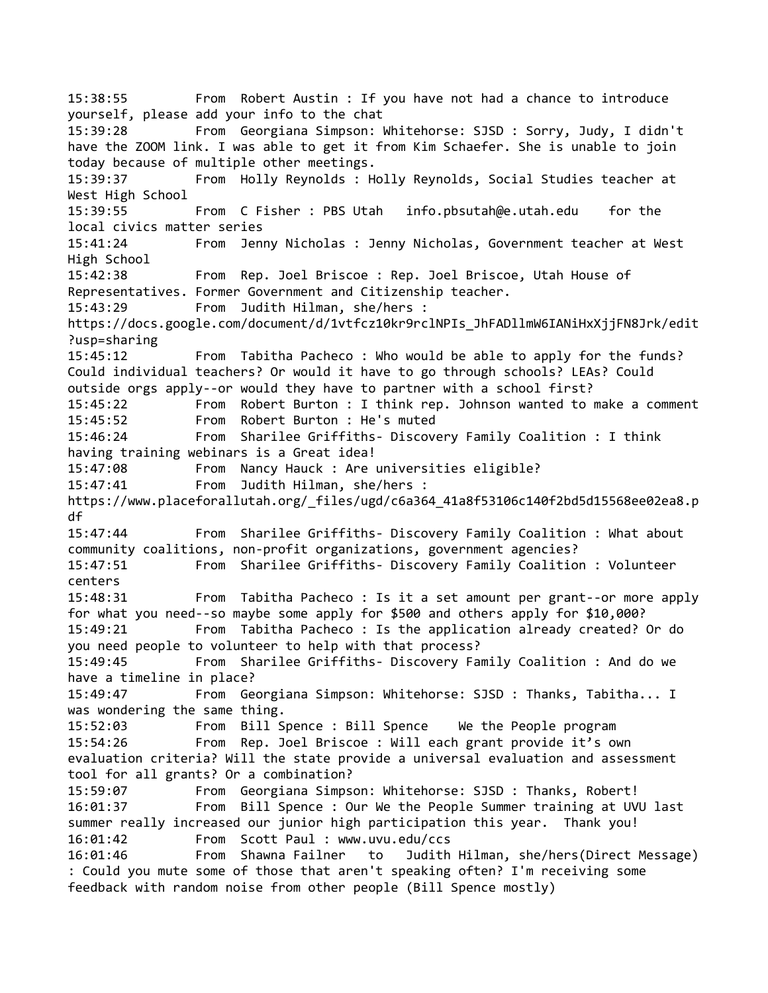15:38:55 From Robert Austin : If you have not had a chance to introduce yourself, please add your info to the chat 15:39:28 From Georgiana Simpson: Whitehorse: SJSD : Sorry, Judy, I didn't have the ZOOM link. I was able to get it from Kim Schaefer. She is unable to join today because of multiple other meetings. 15:39:37 From Holly Reynolds : Holly Reynolds, Social Studies teacher at West High School 15:39:55 From C Fisher : PBS Utah info.pbsutah@e.utah.edu for the local civics matter series 15:41:24 From Jenny Nicholas : Jenny Nicholas, Government teacher at West High School 15:42:38 From Rep. Joel Briscoe : Rep. Joel Briscoe, Utah House of Representatives. Former Government and Citizenship teacher. 15:43:29 From Judith Hilman, she/hers : https://docs.google.com/document/d/1vtfcz10kr9rclNPIs\_JhFADllmW6IANiHxXjjFN8Jrk/edit ?usp=sharing 15:45:12 From Tabitha Pacheco : Who would be able to apply for the funds? Could individual teachers? Or would it have to go through schools? LEAs? Could outside orgs apply--or would they have to partner with a school first? 15:45:22 From Robert Burton : I think rep. Johnson wanted to make a comment 15:45:52 From Robert Burton : He's muted 15:46:24 From Sharilee Griffiths- Discovery Family Coalition : I think having training webinars is a Great idea! 15:47:08 From Nancy Hauck : Are universities eligible? 15:47:41 From Judith Hilman, she/hers : https://www.placeforallutah.org/\_files/ugd/c6a364\_41a8f53106c140f2bd5d15568ee02ea8.p df 15:47:44 From Sharilee Griffiths- Discovery Family Coalition : What about community coalitions, non-profit organizations, government agencies? 15:47:51 From Sharilee Griffiths- Discovery Family Coalition : Volunteer centers 15:48:31 From Tabitha Pacheco : Is it a set amount per grant--or more apply for what you need--so maybe some apply for \$500 and others apply for \$10,000? 15:49:21 From Tabitha Pacheco : Is the application already created? Or do you need people to volunteer to help with that process? 15:49:45 From Sharilee Griffiths- Discovery Family Coalition : And do we have a timeline in place? 15:49:47 From Georgiana Simpson: Whitehorse: SJSD : Thanks, Tabitha... I was wondering the same thing. 15:52:03 From Bill Spence : Bill Spence We the People program 15:54:26 From Rep. Joel Briscoe : Will each grant provide it's own evaluation criteria? Will the state provide a universal evaluation and assessment tool for all grants? Or a combination? 15:59:07 From Georgiana Simpson: Whitehorse: SJSD : Thanks, Robert! 16:01:37 From Bill Spence : Our We the People Summer training at UVU last summer really increased our junior high participation this year. Thank you! 16:01:42 From Scott Paul : www.uvu.edu/ccs 16:01:46 From Shawna Failner to Judith Hilman, she/hers(Direct Message) : Could you mute some of those that aren't speaking often? I'm receiving some feedback with random noise from other people (Bill Spence mostly)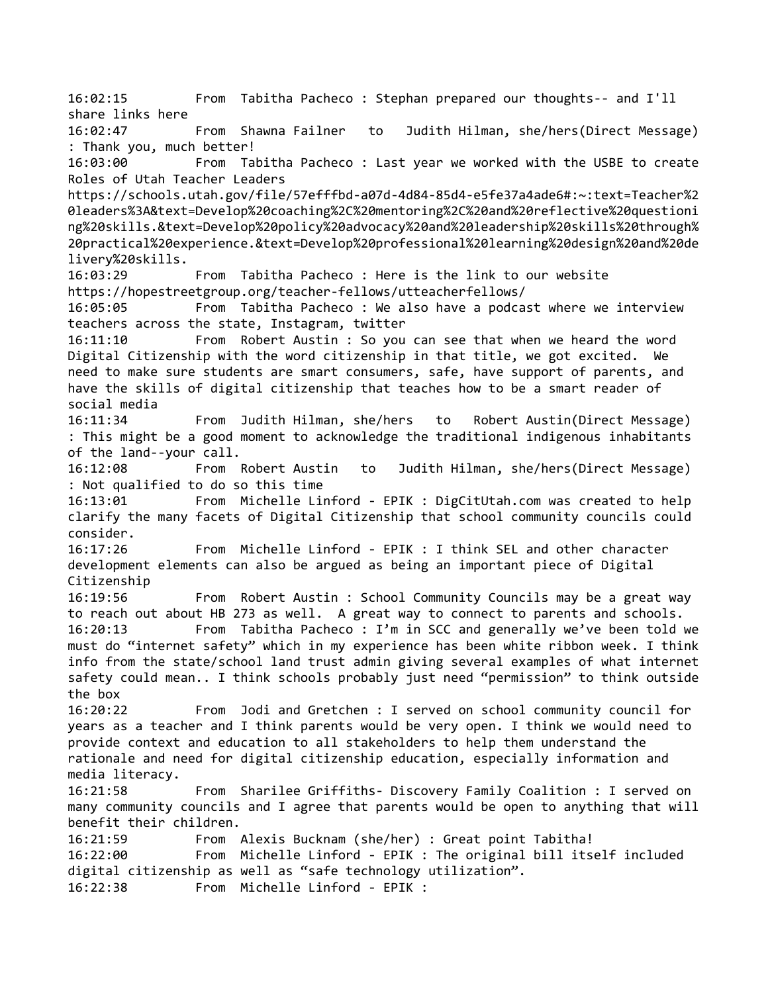16:02:15 From Tabitha Pacheco : Stephan prepared our thoughts-- and I'll share links here 16:02:47 From Shawna Failner to Judith Hilman, she/hers(Direct Message) : Thank you, much better! 16:03:00 From Tabitha Pacheco : Last year we worked with the USBE to create Roles of Utah Teacher Leaders https://schools.utah.gov/file/57efffbd-a07d-4d84-85d4-e5fe37a4ade6#:~:text=Teacher%2 0leaders%3A&text=Develop%20coaching%2C%20mentoring%2C%20and%20reflective%20questioni ng%20skills.&text=Develop%20policy%20advocacy%20and%20leadership%20skills%20through% 20practical%20experience.&text=Develop%20professional%20learning%20design%20and%20de livery%20skills. 16:03:29 From Tabitha Pacheco : Here is the link to our website https://hopestreetgroup.org/teacher-fellows/utteacherfellows/ 16:05:05 From Tabitha Pacheco : We also have a podcast where we interview teachers across the state, Instagram, twitter 16:11:10 From Robert Austin : So you can see that when we heard the word Digital Citizenship with the word citizenship in that title, we got excited. We need to make sure students are smart consumers, safe, have support of parents, and have the skills of digital citizenship that teaches how to be a smart reader of social media 16:11:34 From Judith Hilman, she/hers to Robert Austin(Direct Message) : This might be a good moment to acknowledge the traditional indigenous inhabitants of the land--your call. 16:12:08 From Robert Austin to Judith Hilman, she/hers(Direct Message) : Not qualified to do so this time 16:13:01 From Michelle Linford - EPIK : DigCitUtah.com was created to help clarify the many facets of Digital Citizenship that school community councils could consider. 16:17:26 From Michelle Linford - EPIK : I think SEL and other character development elements can also be argued as being an important piece of Digital Citizenship 16:19:56 From Robert Austin : School Community Councils may be a great way to reach out about HB 273 as well. A great way to connect to parents and schools. 16:20:13 From Tabitha Pacheco : I'm in SCC and generally we've been told we must do "internet safety" which in my experience has been white ribbon week. I think info from the state/school land trust admin giving several examples of what internet safety could mean.. I think schools probably just need "permission" to think outside the box 16:20:22 From Jodi and Gretchen : I served on school community council for years as a teacher and I think parents would be very open. I think we would need to provide context and education to all stakeholders to help them understand the rationale and need for digital citizenship education, especially information and media literacy. 16:21:58 From Sharilee Griffiths- Discovery Family Coalition : I served on many community councils and I agree that parents would be open to anything that will benefit their children. 16:21:59 From Alexis Bucknam (she/her) : Great point Tabitha! 16:22:00 From Michelle Linford - EPIK : The original bill itself included digital citizenship as well as "safe technology utilization". 16:22:38 From Michelle Linford - EPIK :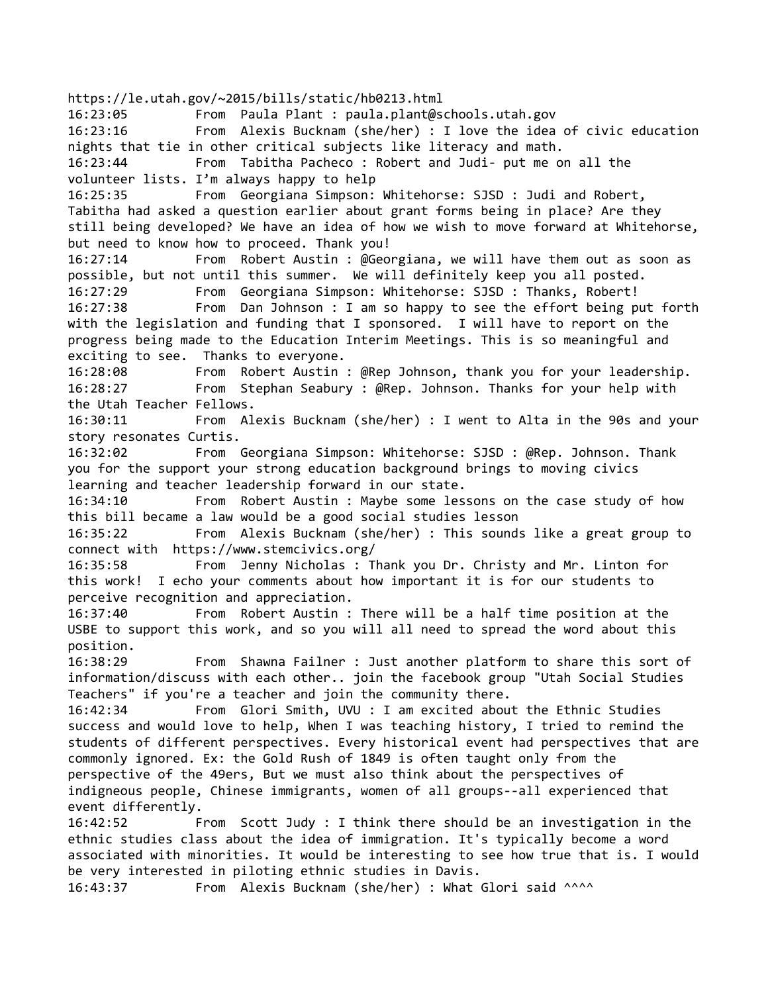https://le.utah.gov/~2015/bills/static/hb0213.html 16:23:05 From Paula Plant : paula.plant@schools.utah.gov 16:23:16 From Alexis Bucknam (she/her) : I love the idea of civic education nights that tie in other critical subjects like literacy and math. 16:23:44 From Tabitha Pacheco : Robert and Judi- put me on all the volunteer lists. I'm always happy to help 16:25:35 From Georgiana Simpson: Whitehorse: SJSD : Judi and Robert, Tabitha had asked a question earlier about grant forms being in place? Are they still being developed? We have an idea of how we wish to move forward at Whitehorse, but need to know how to proceed. Thank you! 16:27:14 From Robert Austin : @Georgiana, we will have them out as soon as possible, but not until this summer. We will definitely keep you all posted. 16:27:29 From Georgiana Simpson: Whitehorse: SJSD : Thanks, Robert! 16:27:38 From Dan Johnson : I am so happy to see the effort being put forth with the legislation and funding that I sponsored. I will have to report on the progress being made to the Education Interim Meetings. This is so meaningful and exciting to see. Thanks to everyone. 16:28:08 From Robert Austin : @Rep Johnson, thank you for your leadership. 16:28:27 From Stephan Seabury : @Rep. Johnson. Thanks for your help with the Utah Teacher Fellows. 16:30:11 From Alexis Bucknam (she/her) : I went to Alta in the 90s and your story resonates Curtis. 16:32:02 From Georgiana Simpson: Whitehorse: SJSD : @Rep. Johnson. Thank you for the support your strong education background brings to moving civics learning and teacher leadership forward in our state. 16:34:10 From Robert Austin : Maybe some lessons on the case study of how this bill became a law would be a good social studies lesson 16:35:22 From Alexis Bucknam (she/her) : This sounds like a great group to connect with https://www.stemcivics.org/ 16:35:58 From Jenny Nicholas : Thank you Dr. Christy and Mr. Linton for this work! I echo your comments about how important it is for our students to perceive recognition and appreciation. 16:37:40 From Robert Austin : There will be a half time position at the USBE to support this work, and so you will all need to spread the word about this position. 16:38:29 From Shawna Failner : Just another platform to share this sort of information/discuss with each other.. join the facebook group "Utah Social Studies Teachers" if you're a teacher and join the community there. 16:42:34 From Glori Smith, UVU : I am excited about the Ethnic Studies success and would love to help, When I was teaching history, I tried to remind the students of different perspectives. Every historical event had perspectives that are commonly ignored. Ex: the Gold Rush of 1849 is often taught only from the perspective of the 49ers, But we must also think about the perspectives of indigneous people, Chinese immigrants, women of all groups--all experienced that event differently. 16:42:52 From Scott Judy : I think there should be an investigation in the ethnic studies class about the idea of immigration. It's typically become a word associated with minorities. It would be interesting to see how true that is. I would be very interested in piloting ethnic studies in Davis. 16:43:37 From Alexis Bucknam (she/her) : What Glori said ^^^^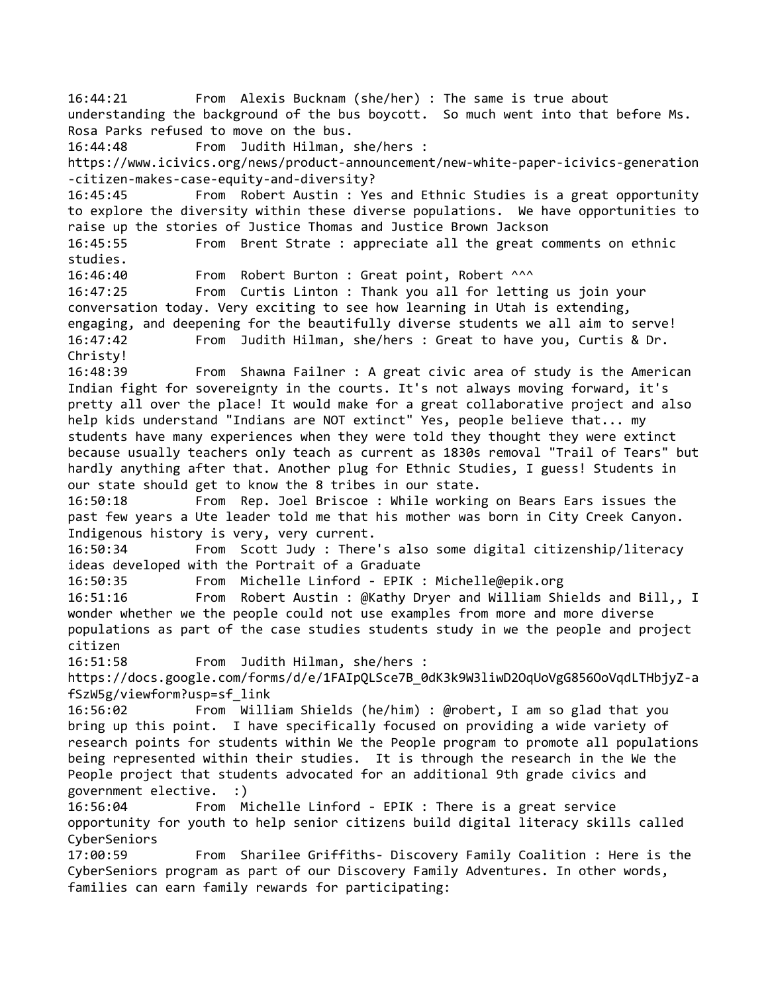16:44:21 From Alexis Bucknam (she/her) : The same is true about understanding the background of the bus boycott. So much went into that before Ms. Rosa Parks refused to move on the bus. 16:44:48 From Judith Hilman, she/hers : https://www.icivics.org/news/product-announcement/new-white-paper-icivics-generation -citizen-makes-case-equity-and-diversity? 16:45:45 From Robert Austin : Yes and Ethnic Studies is a great opportunity to explore the diversity within these diverse populations. We have opportunities to raise up the stories of Justice Thomas and Justice Brown Jackson 16:45:55 From Brent Strate : appreciate all the great comments on ethnic studies. 16:46:40 From Robert Burton : Great point, Robert ^^^ 16:47:25 From Curtis Linton : Thank you all for letting us join your conversation today. Very exciting to see how learning in Utah is extending, engaging, and deepening for the beautifully diverse students we all aim to serve! 16:47:42 From Judith Hilman, she/hers : Great to have you, Curtis & Dr. Christy! 16:48:39 From Shawna Failner : A great civic area of study is the American Indian fight for sovereignty in the courts. It's not always moving forward, it's pretty all over the place! It would make for a great collaborative project and also help kids understand "Indians are NOT extinct" Yes, people believe that... my students have many experiences when they were told they thought they were extinct because usually teachers only teach as current as 1830s removal "Trail of Tears" but hardly anything after that. Another plug for Ethnic Studies, I guess! Students in our state should get to know the 8 tribes in our state. 16:50:18 From Rep. Joel Briscoe : While working on Bears Ears issues the past few years a Ute leader told me that his mother was born in City Creek Canyon. Indigenous history is very, very current. 16:50:34 From Scott Judy : There's also some digital citizenship/literacy ideas developed with the Portrait of a Graduate 16:50:35 From Michelle Linford - EPIK : Michelle@epik.org 16:51:16 From Robert Austin : @Kathy Dryer and William Shields and Bill,, I wonder whether we the people could not use examples from more and more diverse populations as part of the case studies students study in we the people and project citizen 16:51:58 From Judith Hilman, she/hers : https://docs.google.com/forms/d/e/1FAIpQLSce7B\_0dK3k9W3liwD2OqUoVgG856OoVqdLTHbjyZ-a fSzW5g/viewform?usp=sf\_link 16:56:02 From William Shields (he/him) : @robert, I am so glad that you bring up this point. I have specifically focused on providing a wide variety of research points for students within We the People program to promote all populations being represented within their studies. It is through the research in the We the People project that students advocated for an additional 9th grade civics and government elective. :) 16:56:04 From Michelle Linford - EPIK : There is a great service opportunity for youth to help senior citizens build digital literacy skills called CyberSeniors 17:00:59 From Sharilee Griffiths- Discovery Family Coalition : Here is the CyberSeniors program as part of our Discovery Family Adventures. In other words, families can earn family rewards for participating: